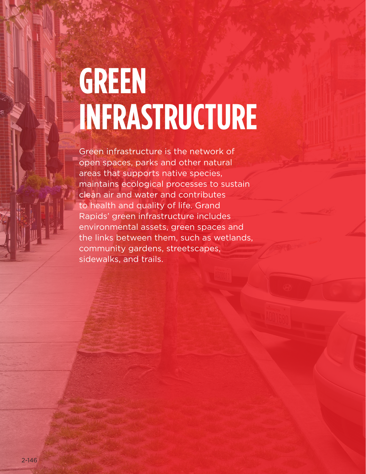## **GREEN INFRASTRUCTURE**

Green infrastructure is the network of open spaces, parks and other natural areas that supports native species, maintains ecological processes to sustain clean air and water and contributes to health and quality of life. Grand Rapids' green infrastructure includes environmental assets, green spaces and the links between them, such as wetlands, community gardens, streetscapes, sidewalks, and trails.

two-stage turn queue